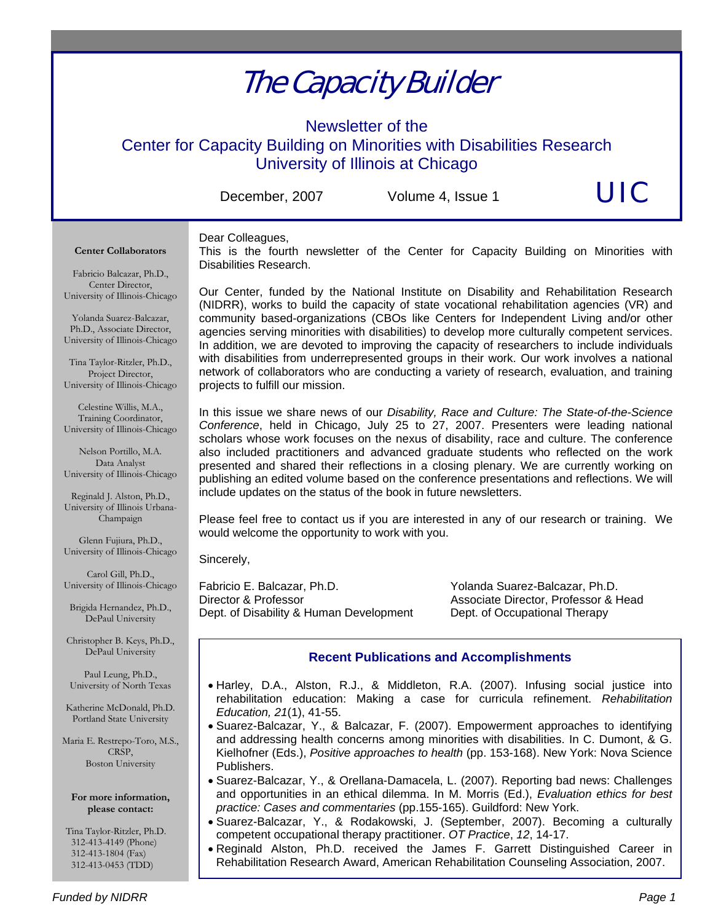# The Capacity Builder

Newsletter of the Center for Capacity Building on Minorities with Disabilities Research University of Illinois at Chicago

December, 2007 Volume 4, Issue 1  $\bigcup C$ 

#### Dear Colleagues,

This is the fourth newsletter of the Center for Capacity Building on Minorities with Disabilities Research.

Fabricio Balcazar, Ph.D., Center Director, University of Illinois-Chicago

**Center Collaborators** 

Yolanda Suarez-Balcazar, Ph.D., Associate Director, University of Illinois-Chicago

Tina Taylor-Ritzler, Ph.D., Project Director, University of Illinois-Chicago

Celestine Willis, M.A., Training Coordinator, University of Illinois-Chicago

Nelson Portillo, M.A. Data Analyst University of Illinois-Chicago

Reginald J. Alston, Ph.D., University of Illinois Urbana-Champaign

Glenn Fujiura, Ph.D., University of Illinois-Chicago

Carol Gill, Ph.D., University of Illinois-Chicago

Brigida Hernandez, Ph.D., DePaul University

Christopher B. Keys, Ph.D., DePaul University

Paul Leung, Ph.D., University of North Texas

Katherine McDonald, Ph.D. Portland State University

Maria E. Restrepo-Toro, M.S., CRSP, Boston University

**For more information, please contact:** 

 Tina Taylor-Ritzler, Ph.D. 312-413-4149 (Phone) 312-413-1804 (Fax) 312-413-0453 (TDD)

Our Center, funded by the National Institute on Disability and Rehabilitation Research (NIDRR), works to build the capacity of state vocational rehabilitation agencies (VR) and community based-organizations (CBOs like Centers for Independent Living and/or other agencies serving minorities with disabilities) to develop more culturally competent services. In addition, we are devoted to improving the capacity of researchers to include individuals with disabilities from underrepresented groups in their work. Our work involves a national network of collaborators who are conducting a variety of research, evaluation, and training projects to fulfill our mission.

In this issue we share news of our *Disability, Race and Culture: The State-of-the-Science Conference*, held in Chicago, July 25 to 27, 2007. Presenters were leading national scholars whose work focuses on the nexus of disability, race and culture. The conference also included practitioners and advanced graduate students who reflected on the work presented and shared their reflections in a closing plenary. We are currently working on publishing an edited volume based on the conference presentations and reflections. We will include updates on the status of the book in future newsletters.

Please feel free to contact us if you are interested in any of our research or training. We would welcome the opportunity to work with you.

Sincerely,

Fabricio E. Balcazar, Ph.D. Yolanda Suarez-Balcazar, Ph.D. Director & Professor **Associate Director, Professor & Head** Dept. of Disability & Human Development Dept. of Occupational Therapy

### **Recent Publications and Accomplishments**

- Harley, D.A., Alston, R.J., & Middleton, R.A. (2007). Infusing social justice into rehabilitation education: Making a case for curricula refinement. *Rehabilitation Education, 21*(1), 41-55.
- Suarez-Balcazar, Y., & Balcazar, F. (2007). Empowerment approaches to identifying and addressing health concerns among minorities with disabilities. In C. Dumont, & G. Kielhofner (Eds.), *Positive approaches to health* (pp. 153-168). New York: Nova Science Publishers.
- Suarez-Balcazar, Y., & Orellana-Damacela, L. (2007). Reporting bad news: Challenges and opportunities in an ethical dilemma. In M. Morris (Ed.), *Evaluation ethics for best practice: Cases and commentaries* (pp.155-165). Guildford: New York.
- Suarez-Balcazar, Y., & Rodakowski, J. (September, 2007). Becoming a culturally competent occupational therapy practitioner. *OT Practice*, *12*, 14-17.
- Reginald Alston, Ph.D. received the James F. Garrett Distinguished Career in Rehabilitation Research Award, American Rehabilitation Counseling Association, 2007.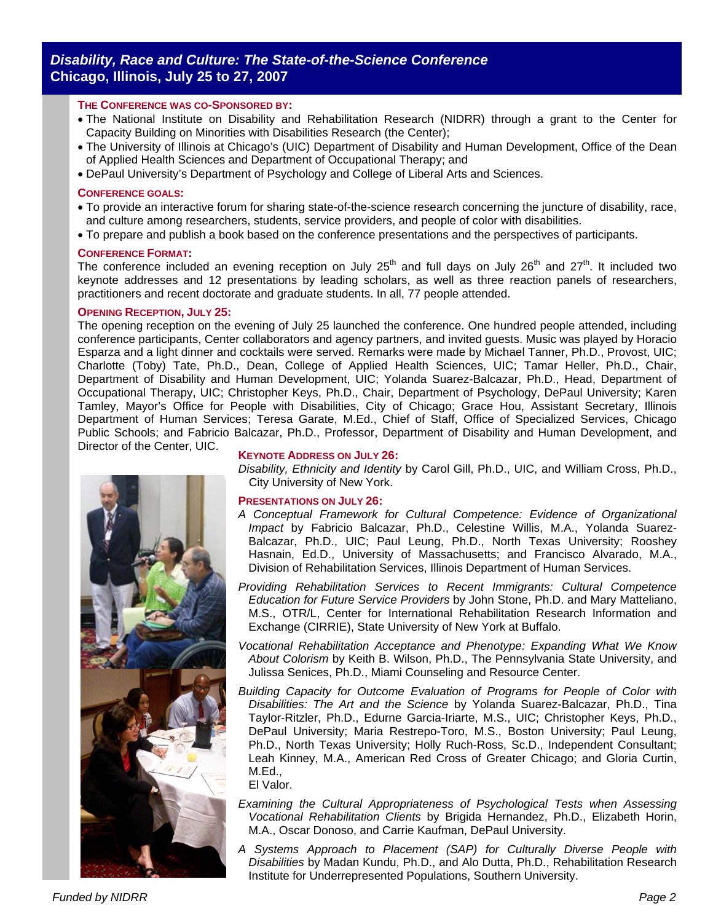## *Disability, Race and Culture: The State-of-the-Science Conference* **Chicago, Illinois, July 25 to 27, 2007**

#### **THE CONFERENCE WAS CO-SPONSORED BY:**

- The National Institute on Disability and Rehabilitation Research (NIDRR) through a grant to the Center for Capacity Building on Minorities with Disabilities Research (the Center);
- The University of Illinois at Chicago's (UIC) Department of Disability and Human Development, Office of the Dean of Applied Health Sciences and Department of Occupational Therapy; and
- DePaul University's Department of Psychology and College of Liberal Arts and Sciences.

#### **CONFERENCE GOALS:**

- To provide an interactive forum for sharing state-of-the-science research concerning the juncture of disability, race, and culture among researchers, students, service providers, and people of color with disabilities.
- To prepare and publish a book based on the conference presentations and the perspectives of participants.

#### **CONFERENCE FORMAT:**

The conference included an evening reception on July 25<sup>th</sup> and full days on July 26<sup>th</sup> and 27<sup>th</sup>. It included two keynote addresses and 12 presentations by leading scholars, as well as three reaction panels of researchers, practitioners and recent doctorate and graduate students. In all, 77 people attended.

#### **OPENING RECEPTION, JULY 25:**

The opening reception on the evening of July 25 launched the conference. One hundred people attended, including conference participants, Center collaborators and agency partners, and invited guests. Music was played by Horacio Esparza and a light dinner and cocktails were served. Remarks were made by Michael Tanner, Ph.D., Provost, UIC; Charlotte (Toby) Tate, Ph.D., Dean, College of Applied Health Sciences, UIC; Tamar Heller, Ph.D., Chair, Department of Disability and Human Development, UIC; Yolanda Suarez-Balcazar, Ph.D., Head, Department of Occupational Therapy, UIC; Christopher Keys, Ph.D., Chair, Department of Psychology, DePaul University; Karen Tamley, Mayor's Office for People with Disabilities, City of Chicago; Grace Hou, Assistant Secretary, Illinois Department of Human Services; Teresa Garate, M.Ed., Chief of Staff, Office of Specialized Services, Chicago Public Schools; and Fabricio Balcazar, Ph.D., Professor, Department of Disability and Human Development, and Director of the Center, UIC.



#### **KEYNOTE ADDRESS ON JULY 26:**

*Disability, Ethnicity and Identity* by Carol Gill, Ph.D., UIC, and William Cross, Ph.D., City University of New York.

#### **PRESENTATIONS ON JULY 26:**

- *A Conceptual Framework for Cultural Competence: Evidence of Organizational Impact* by Fabricio Balcazar, Ph.D., Celestine Willis, M.A., Yolanda Suarez-Balcazar, Ph.D., UIC; Paul Leung, Ph.D., North Texas University; Rooshey Hasnain, Ed.D., University of Massachusetts; and Francisco Alvarado, M.A., Division of Rehabilitation Services, Illinois Department of Human Services.
- *Providing Rehabilitation Services to Recent Immigrants: Cultural Competence Education for Future Service Providers* by John Stone, Ph.D. and Mary Matteliano, M.S., OTR/L, Center for International Rehabilitation Research Information and Exchange (CIRRIE), State University of New York at Buffalo.
- *Vocational Rehabilitation Acceptance and Phenotype: Expanding What We Know About Colorism* by Keith B. Wilson, Ph.D., The Pennsylvania State University, and Julissa Senices, Ph.D., Miami Counseling and Resource Center.
- *Building Capacity for Outcome Evaluation of Programs for People of Color with Disabilities: The Art and the Science* by Yolanda Suarez-Balcazar, Ph.D., Tina Taylor-Ritzler, Ph.D., Edurne Garcia-Iriarte, M.S., UIC; Christopher Keys, Ph.D., DePaul University; Maria Restrepo-Toro, M.S., Boston University; Paul Leung, Ph.D., North Texas University; Holly Ruch-Ross, Sc.D., Independent Consultant; Leah Kinney, M.A., American Red Cross of Greater Chicago; and Gloria Curtin, M.Ed.,

El Valor.

- *Examining the Cultural Appropriateness of Psychological Tests when Assessing Vocational Rehabilitation Clients* by Brigida Hernandez, Ph.D., Elizabeth Horin, M.A., Oscar Donoso, and Carrie Kaufman, DePaul University.
- *A Systems Approach to Placement (SAP) for Culturally Diverse People with Disabilities* by Madan Kundu, Ph.D., and Alo Dutta, Ph.D., Rehabilitation Research Institute for Underrepresented Populations, Southern University.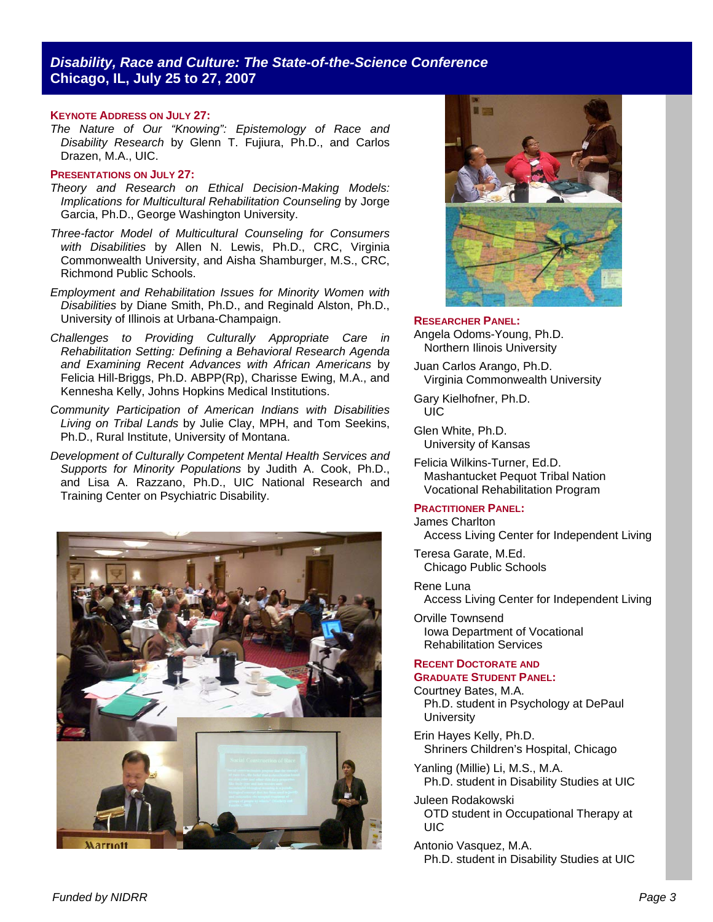#### **KEYNOTE ADDRESS ON JULY 27:**

*The Nature of Our "Knowing": Epistemology of Race and Disability Research* by Glenn T. Fujiura, Ph.D., and Carlos Drazen, M.A., UIC.

#### **PRESENTATIONS ON JULY 27:**

- *Theory and Research on Ethical Decision-Making Models: Implications for Multicultural Rehabilitation Counseling* by Jorge Garcia, Ph.D., George Washington University.
- *Three-factor Model of Multicultural Counseling for Consumers with Disabilities* by Allen N. Lewis, Ph.D., CRC, Virginia Commonwealth University, and Aisha Shamburger, M.S., CRC, Richmond Public Schools.
- *Employment and Rehabilitation Issues for Minority Women with Disabilities* by Diane Smith, Ph.D., and Reginald Alston, Ph.D., University of Illinois at Urbana-Champaign.
- *Challenges to Providing Culturally Appropriate Care in Rehabilitation Setting: Defining a Behavioral Research Agenda and Examining Recent Advances with African Americans* by Felicia Hill-Briggs, Ph.D. ABPP(Rp), Charisse Ewing, M.A., and Kennesha Kelly, Johns Hopkins Medical Institutions.
- *Community Participation of American Indians with Disabilities Living on Tribal Lands* by Julie Clay, MPH, and Tom Seekins, Ph.D., Rural Institute, University of Montana.
- *Development of Culturally Competent Mental Health Services and Supports for Minority Populations* by Judith A. Cook, Ph.D., and Lisa A. Razzano, Ph.D., UIC National Research and Training Center on Psychiatric Disability.





#### **RESEARCHER PANEL:**

Angela Odoms-Young, Ph.D. Northern Ilinois University

Juan Carlos Arango, Ph.D. Virginia Commonwealth University

Gary Kielhofner, Ph.D. UIC

Glen White, Ph.D. University of Kansas

Felicia Wilkins-Turner, Ed.D. Mashantucket Pequot Tribal Nation Vocational Rehabilitation Program

#### **PRACTITIONER PANEL:**

James Charlton Access Living Center for Independent Living

Teresa Garate, M.Ed. Chicago Public Schools

- Rene Luna Access Living Center for Independent Living
- Orville Townsend Iowa Department of Vocational Rehabilitation Services

#### **RECENT DOCTORATE AND GRADUATE STUDENT PANEL:**

- Courtney Bates, M.A. Ph.D. student in Psychology at DePaul **University**
- Erin Hayes Kelly, Ph.D. Shriners Children's Hospital, Chicago
- Yanling (Millie) Li, M.S., M.A. Ph.D. student in Disability Studies at UIC
- Juleen Rodakowski OTD student in Occupational Therapy at UIC
- Antonio Vasquez, M.A. Ph.D. student in Disability Studies at UIC